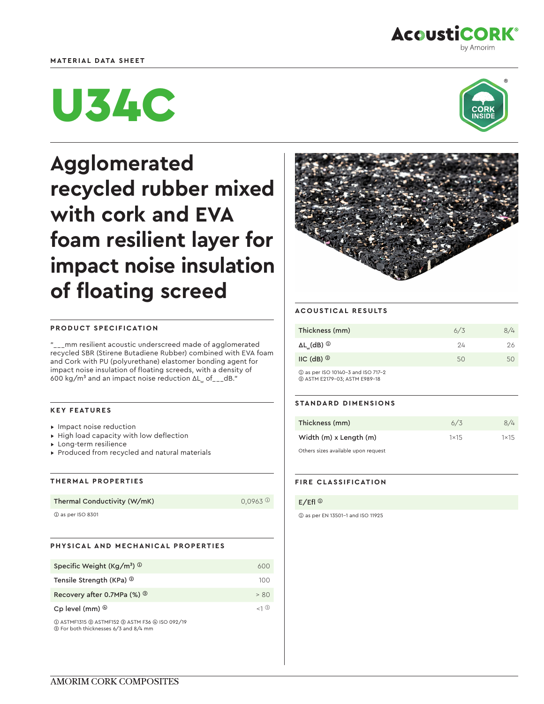## **MATERIAL DATA SHEET**







**Agglomerated recycled rubber mixed with cork and EVA foam resilient layer for impact noise insulation of floating screed**



## **PRODUCT SPECIFICATION**

"\_\_\_mm resilient acoustic underscreed made of agglomerated recycled SBR (Stirene Butadiene Rubber) combined with EVA foam and Cork with PU (polyurethane) elastomer bonding agent for impact noise insulation of floating screeds, with a density of 600 kg/m<sup>3</sup> and an impact noise reduction  $\Delta L_w$  of \_\_dB."

## **KEY FEATURES**

- ▸ Impact noise reduction
- ▸ High load capacity with low deflection
- ▸ Long-term resilience
- ▸ Produced from recycled and natural materials

#### **THERMAL PROPERTIES**

Thermal Conductivity (W/mK)  $0,0963 \text{ }^{\circ}$ 

➀ as per ISO 8301

## **PHYSICAL AND MECHANICAL PROPERTIES**

| Specific Weight (Kg/m <sup>3</sup> ) $^{\circledR}$ | 600  |
|-----------------------------------------------------|------|
| Tensile Strength (KPa) <sup>2</sup>                 | 100  |
| Recovery after 0.7MPa (%) ®                         | > 80 |
| Cp level (mm) $\circledcirc$                        | 1(5) |

➀ ASTMF1315 ➁ ASTMF152 ➂ ASTM F36 ➃ ISO 092/19 ➄ For both thicknesses 6/3 and 8/4 mm

# $\text{IIC (dB)} \textcircled{3}$  50 50 50

**ACOUSTICAL RESULTS**

➀ as per ISO 10140-3 and ISO 717-2 ➁ ASTM E2179-03; ASTM E989-18

#### **STANDARD DIMENSIONS**

| Thickness (mm)                      | 6/3          | 8/4          |
|-------------------------------------|--------------|--------------|
| Width (m) x Length (m)              | $1\times 15$ | $1\times 15$ |
| Others sizes available upon request |              |              |

Thickness (mm)  $6/3$  8/4  $\Delta L_{w}$ (dB) <sup>①</sup> 26

#### **FIRE CLASSIFICATION**

#### $E/EH$ <sup>①</sup>

➀ as per EN 13501-1 and ISO 11925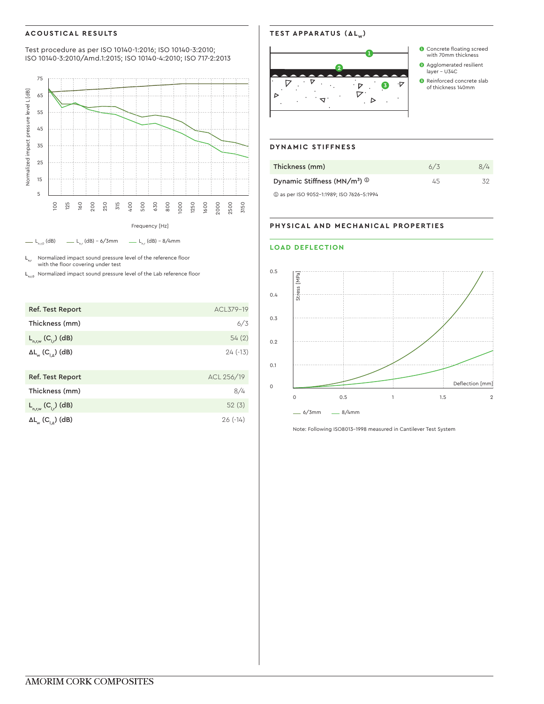## **ACOUSTICAL RESULTS**

Test procedure as per ISO 10140-1:2016; ISO 10140-3:2010; ISO 10140-3:2010/Amd.1:2015; ISO 10140-4:2010; ISO 717-2:2013



 $L_{n,r}$  Normalized impact sound pressure level of the reference floor with the floor covering under test

 $L_{n,r,0}$  Normalized impact sound pressure level of the Lab reference floor

| Ref. Test Report                                   | ACI 379-19 |
|----------------------------------------------------|------------|
| Thickness (mm)                                     | 6/3        |
| $L_{n,r,w}$ (C <sub>I,r</sub> ) (dB)               | 54(2)      |
| $\Delta L_{_{\mathrm{W}}}$ (C <sub>IA</sub> ) (dB) | $24(-13)$  |
| Ref. Test Report                                   | ACL 256/19 |
| Thickness (mm)                                     |            |

 $L_{n,r,w}$  (C<sub>l,r</sub>) (dB) 52 (3)  $\Delta L_{w}$  (C<sub>l,A</sub>) (dB) 26 (-14)

|  |  | <b>ΤΕSΤ ΑΡΡΑRATUS (ΔL<sub>w</sub>)</b> |  |
|--|--|----------------------------------------|--|
|--|--|----------------------------------------|--|



- ❶ Concrete floating screed with 70mm thickness
- ❷ Agglomerated resilient layer - U34C
- ❸ Reinforced concrete slab of thickness 140mm

## **DYNAMIC STIFFNESS**

| Thickness (mm)                                        | 6/3     | 8/4 |
|-------------------------------------------------------|---------|-----|
| Dynamic Stiffness (MN/m <sup>3</sup> ) $\circledcirc$ | $/$ , 5 |     |
| 1 as per ISO 9052-1:1989; ISO 7626-5:1994             |         |     |

**PHYSICAL AND MECHANICAL PROPERTIES**

## **LOAD DEFLECTION**



Note: Following ISO8013-1998 measured in Cantilever Test System